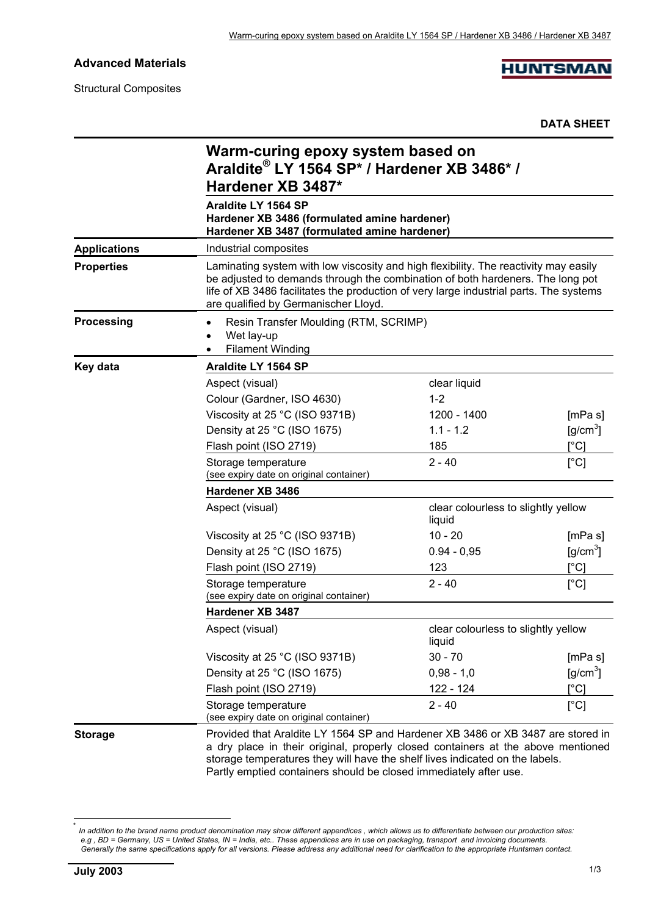**Advanced Materials**

Structural Composites

**HUNTSMAN** 

**DATA SHEET**

|                     | Warm-curing epoxy system based on<br>Araldite® LY 1564 SP* / Hardener XB 3486* /<br>Hardener XB 3487*<br>Araldite LY 1564 SP<br>Hardener XB 3486 (formulated amine hardener)<br>Hardener XB 3487 (formulated amine hardener)                                                                             |                                               |                           |  |  |
|---------------------|----------------------------------------------------------------------------------------------------------------------------------------------------------------------------------------------------------------------------------------------------------------------------------------------------------|-----------------------------------------------|---------------------------|--|--|
|                     |                                                                                                                                                                                                                                                                                                          |                                               |                           |  |  |
| <b>Applications</b> | Industrial composites                                                                                                                                                                                                                                                                                    |                                               |                           |  |  |
| <b>Properties</b>   | Laminating system with low viscosity and high flexibility. The reactivity may easily<br>be adjusted to demands through the combination of both hardeners. The long pot<br>life of XB 3486 facilitates the production of very large industrial parts. The systems<br>are qualified by Germanischer Lloyd. |                                               |                           |  |  |
| <b>Processing</b>   | Resin Transfer Moulding (RTM, SCRIMP)<br>Wet lay-up<br><b>Filament Winding</b>                                                                                                                                                                                                                           |                                               |                           |  |  |
| Key data            | Araldite LY 1564 SP                                                                                                                                                                                                                                                                                      |                                               |                           |  |  |
|                     | Aspect (visual)                                                                                                                                                                                                                                                                                          | clear liquid                                  |                           |  |  |
|                     | Colour (Gardner, ISO 4630)                                                                                                                                                                                                                                                                               | $1 - 2$                                       |                           |  |  |
|                     | Viscosity at 25 °C (ISO 9371B)                                                                                                                                                                                                                                                                           | 1200 - 1400                                   | [mPa s]                   |  |  |
|                     | Density at 25 °C (ISO 1675)                                                                                                                                                                                                                                                                              | $1.1 - 1.2$                                   | $[g/cm^3]$                |  |  |
|                     | Flash point (ISO 2719)                                                                                                                                                                                                                                                                                   | 185                                           | [°C]                      |  |  |
|                     | $2 - 40$<br>Storage temperature<br>(see expiry date on original container)                                                                                                                                                                                                                               |                                               | $[^{\circ}C]$             |  |  |
|                     | Hardener XB 3486                                                                                                                                                                                                                                                                                         |                                               |                           |  |  |
|                     | Aspect (visual)                                                                                                                                                                                                                                                                                          | clear colourless to slightly yellow<br>liquid |                           |  |  |
|                     | Viscosity at 25 °C (ISO 9371B)                                                                                                                                                                                                                                                                           | $10 - 20$                                     | [mPa s]                   |  |  |
|                     | Density at 25 °C (ISO 1675)                                                                                                                                                                                                                                                                              | $0.94 - 0.95$                                 | $[g/cm^3]$                |  |  |
|                     | Flash point (ISO 2719)                                                                                                                                                                                                                                                                                   | 123                                           | $\lceil{^{\circ}C}\rceil$ |  |  |
|                     | $2 - 40$<br>Storage temperature<br>(see expiry date on original container)                                                                                                                                                                                                                               |                                               | [°C]                      |  |  |
|                     | Hardener XB 3487                                                                                                                                                                                                                                                                                         |                                               |                           |  |  |
|                     | Aspect (visual)                                                                                                                                                                                                                                                                                          | clear colourless to slightly yellow<br>liquid |                           |  |  |
|                     | Viscosity at 25 °C (ISO 9371B)                                                                                                                                                                                                                                                                           | $30 - 70$                                     | [mPa s]                   |  |  |
|                     | Density at 25 °C (ISO 1675)                                                                                                                                                                                                                                                                              | $0,98 - 1,0$                                  | $\text{g/cm}^3$           |  |  |
|                     | Flash point (ISO 2719)                                                                                                                                                                                                                                                                                   | 122 - 124                                     | $[^{\circ}C]$             |  |  |
|                     | Storage temperature<br>(see expiry date on original container)                                                                                                                                                                                                                                           | $2 - 40$                                      | [°C]                      |  |  |
| <b>Storage</b>      | Provided that Araldite LY 1564 SP and Hardener XB 3486 or XB 3487 are stored in<br>a dry place in their original, properly closed containers at the above mentioned                                                                                                                                      |                                               |                           |  |  |

storage temperatures they will have the shelf lives indicated on the labels. Partly emptied containers should be closed immediately after use.

l

<sup>\*</sup> *In addition to the brand name product denomination may show different appendices , which allows us to differentiate between our production sites: e.g , BD = Germany, US = United States, IN = India, etc.. These appendices are in use on packaging, transport and invoicing documents. Generally the same specifications apply for all versions. Please address any additional need for clarification to the appropriate Huntsman contact.*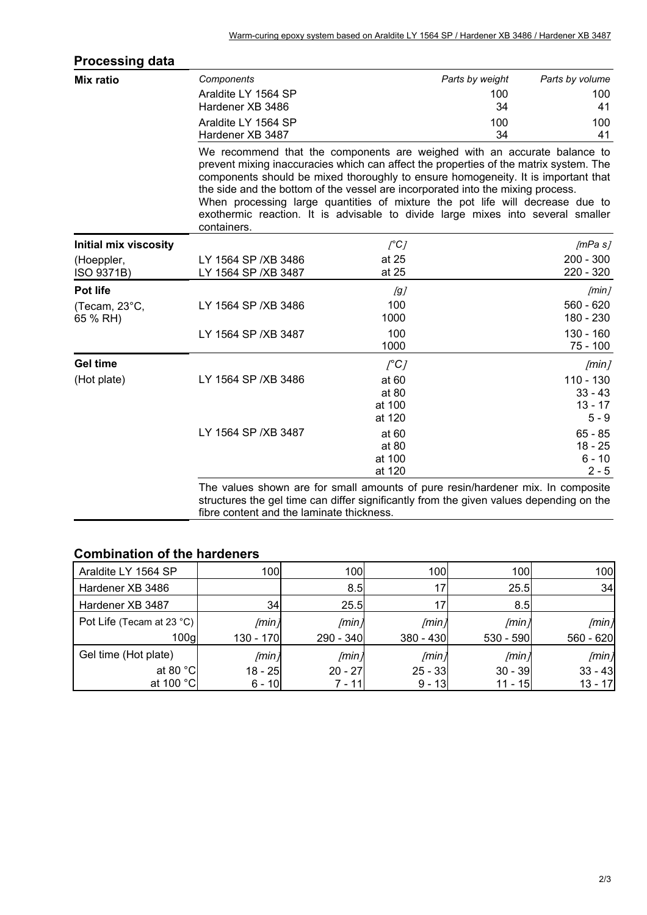| <b>Processing data</b>       |                                                                                                                                                                                                                                                                                                                                                                                                                                                                                                                              |                  |                 |                           |
|------------------------------|------------------------------------------------------------------------------------------------------------------------------------------------------------------------------------------------------------------------------------------------------------------------------------------------------------------------------------------------------------------------------------------------------------------------------------------------------------------------------------------------------------------------------|------------------|-----------------|---------------------------|
| <b>Mix ratio</b>             | Components                                                                                                                                                                                                                                                                                                                                                                                                                                                                                                                   |                  | Parts by weight | Parts by volume           |
|                              | Araldite LY 1564 SP                                                                                                                                                                                                                                                                                                                                                                                                                                                                                                          |                  | 100             | 100                       |
|                              | Hardener XB 3486                                                                                                                                                                                                                                                                                                                                                                                                                                                                                                             |                  | 34              | 41                        |
|                              | Araldite LY 1564 SP                                                                                                                                                                                                                                                                                                                                                                                                                                                                                                          |                  | 100             | 100                       |
|                              | Hardener XB 3487                                                                                                                                                                                                                                                                                                                                                                                                                                                                                                             |                  | 34              | 41                        |
|                              | We recommend that the components are weighed with an accurate balance to<br>prevent mixing inaccuracies which can affect the properties of the matrix system. The<br>components should be mixed thoroughly to ensure homogeneity. It is important that<br>the side and the bottom of the vessel are incorporated into the mixing process.<br>When processing large quantities of mixture the pot life will decrease due to<br>exothermic reaction. It is advisable to divide large mixes into several smaller<br>containers. |                  |                 |                           |
| <b>Initial mix viscosity</b> |                                                                                                                                                                                                                                                                                                                                                                                                                                                                                                                              | $\int C$         |                 | [mPa s]                   |
| (Hoeppler,                   | LY 1564 SP / XB 3486                                                                                                                                                                                                                                                                                                                                                                                                                                                                                                         | at 25            |                 | $200 - 300$               |
| ISO 9371B)                   | LY 1564 SP / XB 3487                                                                                                                                                                                                                                                                                                                                                                                                                                                                                                         | at 25            |                 | 220 - 320                 |
| Pot life                     |                                                                                                                                                                                                                                                                                                                                                                                                                                                                                                                              | [g]              |                 | [min]                     |
| (Tecam, 23°C,<br>65 % RH)    | LY 1564 SP / XB 3486                                                                                                                                                                                                                                                                                                                                                                                                                                                                                                         | 100<br>1000      |                 | $560 - 620$<br>180 - 230  |
|                              | LY 1564 SP / XB 3487                                                                                                                                                                                                                                                                                                                                                                                                                                                                                                         | 100<br>1000      |                 | $130 - 160$<br>$75 - 100$ |
| <b>Gel time</b>              |                                                                                                                                                                                                                                                                                                                                                                                                                                                                                                                              | $[^{\circ}C]$    |                 | [min]                     |
| (Hot plate)                  | LY 1564 SP / XB 3486                                                                                                                                                                                                                                                                                                                                                                                                                                                                                                         | at 60            |                 | $110 - 130$               |
|                              |                                                                                                                                                                                                                                                                                                                                                                                                                                                                                                                              | at 80            |                 | $33 - 43$                 |
|                              |                                                                                                                                                                                                                                                                                                                                                                                                                                                                                                                              | at 100           |                 | $13 - 17$                 |
|                              |                                                                                                                                                                                                                                                                                                                                                                                                                                                                                                                              | at 120           |                 | $5 - 9$                   |
|                              | LY 1564 SP / XB 3487                                                                                                                                                                                                                                                                                                                                                                                                                                                                                                         | at 60            |                 | $65 - 85$                 |
|                              |                                                                                                                                                                                                                                                                                                                                                                                                                                                                                                                              | at 80            |                 | $18 - 25$                 |
|                              |                                                                                                                                                                                                                                                                                                                                                                                                                                                                                                                              | at 100<br>at 120 |                 | $6 - 10$<br>$2 - 5$       |
|                              | The values shown are for small amounts of pure resin/hardener mix. In composite<br>structures the gel time can differ significantly from the given values depending on the                                                                                                                                                                                                                                                                                                                                                   |                  |                 |                           |

fibre content and the laminate thickness.

## **Combination of the hardeners**

| Araldite LY 1564 SP       | 100       | 100               | 100         | 100         | 100         |
|---------------------------|-----------|-------------------|-------------|-------------|-------------|
| Hardener XB 3486          |           | 8.5               | 17          | 25.5        | 34          |
| Hardener XB 3487          | 34        | 25.5              | 17          | 8.5         |             |
| Pot Life (Tecam at 23 °C) | /min      | [min]             | /min)       | /min        | /min        |
| 100 <sub>g</sub>          | 130 - 170 | 290 - 340         | $380 - 430$ | $530 - 590$ | $560 - 620$ |
| Gel time (Hot plate)      | /min      | /min <sub>j</sub> | /min)       | /min/       | [min]       |
| at 80 $^{\circ}$ C        | $18 - 25$ | $20 - 27$         | $25 - 33$   | $30 - 39$   | $33 - 43$   |
| at 100 °C                 | $6 - 10$  | 7 - 11l           | $9 - 13$    | 11 - 15     | $13 - 17$   |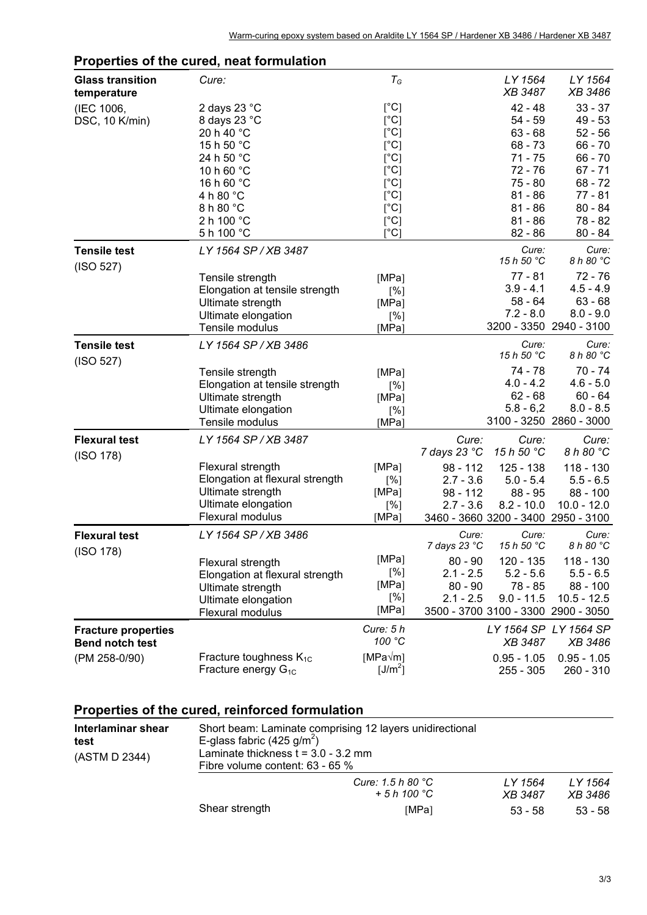|                                        | ropenes or the cared, heat formulation |                     |                       |                          |                                     |
|----------------------------------------|----------------------------------------|---------------------|-----------------------|--------------------------|-------------------------------------|
| <b>Glass transition</b><br>temperature | Cure:                                  | $T_G$               |                       | LY 1564<br>XB 3487       | LY 1564<br>XB 3486                  |
| (IEC 1006,                             | 2 days 23 °C                           | [°C]                |                       | $42 - 48$                | $33 - 37$                           |
| DSC, 10 K/min)                         | 8 days 23 °C                           | $[^{\circ}C]$       |                       | $54 - 59$                | $49 - 53$                           |
|                                        | 20 h 40 °C                             | $[^{\circ}C]$       |                       | $63 - 68$                | $52 - 56$                           |
|                                        | 15 h 50 °C                             | $[^{\circ}C]$       |                       | $68 - 73$                | $66 - 70$                           |
|                                        | 24 h 50 °C                             | [°C]                |                       | $71 - 75$                | $66 - 70$                           |
|                                        | 10 h 60 °C                             | $[^{\circ}C]$       |                       | 72 - 76                  | $67 - 71$                           |
|                                        | 16 h 60 °C                             | $[^{\circ}C]$       |                       | $75 - 80$                | $68 - 72$                           |
|                                        | 4 h 80 °C                              | [°C]                |                       | $81 - 86$                | $77 - 81$                           |
|                                        | 8 h 80 °C                              | [°C]                |                       | $81 - 86$                | $80 - 84$                           |
|                                        | 2 h 100 °C                             | [°C]                |                       | $81 - 86$                | $78 - 82$                           |
|                                        | 5 h 100 °C                             | $\lceil$ °C]        |                       | $82 - 86$                | $80 - 84$                           |
| <b>Tensile test</b>                    | LY 1564 SP / XB 3487                   |                     |                       | Cure:<br>15 h 50 °C      | Cure:<br>8 h 80 °C                  |
| (ISO 527)                              |                                        |                     |                       |                          |                                     |
|                                        | Tensile strength                       | [MPa]               |                       | $77 - 81$<br>$3.9 - 4.1$ | $72 - 76$<br>$4.5 - 4.9$            |
|                                        | Elongation at tensile strength         | [%]                 |                       | $58 - 64$                | $63 - 68$                           |
|                                        | Ultimate strength                      | [MPa]               |                       | $7.2 - 8.0$              | $8.0 - 9.0$                         |
|                                        | Ultimate elongation<br>Tensile modulus | [%]<br>[MPa]        |                       |                          | 3200 - 3350 2940 - 3100             |
| <b>Tensile test</b>                    | LY 1564 SP / XB 3486                   |                     |                       | Cure:<br>15 h 50 °C      | Cure:<br>8 h 80 °C                  |
| (ISO 527)                              | Tensile strength                       | [MPa]               |                       | $74 - 78$                | $70 - 74$                           |
|                                        | Elongation at tensile strength         | [%]                 |                       | $4.0 - 4.2$              | $4.6 - 5.0$                         |
|                                        | Ultimate strength                      | [MPa]               |                       | $62 - 68$                | $60 - 64$                           |
|                                        | Ultimate elongation                    | [%]                 |                       | $5.8 - 6.2$              | $8.0 - 8.5$                         |
|                                        | Tensile modulus                        | [MPa]               |                       |                          | 3100 - 3250 2860 - 3000             |
| <b>Flexural test</b>                   | LY 1564 SP / XB 3487                   |                     | Cure:                 | Cure:                    | Cure:                               |
| (ISO 178)                              |                                        |                     | 7 days 23 °C          | 15 h 50 °C               | 8 h 80 °C                           |
|                                        | Flexural strength                      | [MPa]               | $98 - 112$            | 125 - 138                | $118 - 130$                         |
|                                        | Elongation at flexural strength        | [%]                 | $2.7 - 3.6$           | $5.0 - 5.4$              | $5.5 - 6.5$                         |
|                                        | Ultimate strength                      | [MPa]               | $98 - 112$            | $88 - 95$                | $88 - 100$                          |
|                                        | Ultimate elongation                    | [%]                 | $2.7 - 3.6$           | $8.2 - 10.0$             | $10.0 - 12.0$                       |
|                                        | Flexural modulus                       | [MPa]               |                       |                          | 3460 - 3660 3200 - 3400 2950 - 3100 |
| <b>Flexural test</b>                   | LY 1564 SP / XB 3486                   |                     | Cure:<br>7 days 23 °C | Cure:<br>15 h 50 °C      | Cure:<br>8 h 80 °C                  |
| (ISO 178)                              | Flexural strength                      | [MPa]               | $80 - 90$             | 120 - 135                | 118 - 130                           |
|                                        | Elongation at flexural strength        | [%]                 | $2.1 - 2.5$           | $5.2 - 5.6$              | $5.5 - 6.5$                         |
|                                        | Ultimate strength                      | [MPa]               | $80 - 90$             | 78 - 85                  | 88 - 100                            |
|                                        | Ultimate elongation                    | [%]                 | $2.1 - 2.5$           | $9.0 - 11.5$             | $10.5 - 12.5$                       |
|                                        | Flexural modulus                       | [MPa]               |                       |                          | 3500 - 3700 3100 - 3300 2900 - 3050 |
| <b>Fracture properties</b>             |                                        | Cure: $5h$          |                       |                          | LY 1564 SP LY 1564 SP               |
| <b>Bend notch test</b>                 |                                        | 100 °C              |                       | <b>XB 3487</b>           | <i>XB 3486</i>                      |
| (PM 258-0/90)                          | Fracture toughness $K_{1C}$            | $[MPa\sqrt{m}]$     |                       | $0.95 - 1.05$            | $0.95 - 1.05$                       |
|                                        | Fracture energy $G_{1C}$               | [J/m <sup>2</sup> ] |                       | $255 - 305$              | 260 - 310                           |

## **Properties of the cured, neat formulation**

## **Properties of the cured, reinforced formulation**

| Interlaminar shear<br>test<br>(ASTM D 2344) | Short beam: Laminate comprising 12 layers unidirectional<br>E-glass fabric (425 g/m <sup>2</sup> )<br>Laminate thickness $t = 3.0 - 3.2$ mm<br>Fibre volume content: 63 - 65 % |                                            |                           |                    |  |
|---------------------------------------------|--------------------------------------------------------------------------------------------------------------------------------------------------------------------------------|--------------------------------------------|---------------------------|--------------------|--|
|                                             |                                                                                                                                                                                | Cure: 1.5 h 80 $^{\circ}$ C<br>$+5h100 °C$ | LY 1564<br><i>XB</i> 3487 | LY 1564<br>XB 3486 |  |
|                                             | Shear strength                                                                                                                                                                 | [MPa]                                      | $53 - 58$                 | $53 - 58$          |  |